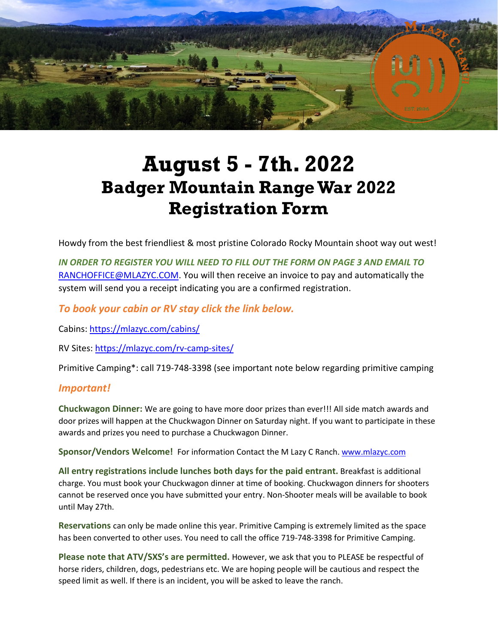

# **August 5 - 7th. 2022 Badger Mountain Range War 2022 Registration Form**

Howdy from the best friendliest & most pristine Colorado Rocky Mountain shoot way out west!

*IN ORDER TO REGISTER YOU WILL NEED TO FILL OUT THE FORM ON PAGE 3 AND EMAIL TO* [RANCHOFFICE@MLAZYC.COM.](mailto:RANCHOFFICE@MLAZYC.COM) You will then receive an invoice to pay and automatically the system will send you a receipt indicating you are a confirmed registration.

#### *To book your cabin or RV stay click the link below.*

Cabins: <https://mlazyc.com/cabins/>

RV Sites: <https://mlazyc.com/rv-camp-sites/>

Primitive Camping\*: call 719-748-3398 (see important note below regarding primitive camping

#### *Important!*

**Chuckwagon Dinner:** We are going to have more door prizes than ever!!! All side match awards and door prizes will happen at the Chuckwagon Dinner on Saturday night. If you want to participate in these awards and prizes you need to purchase a Chuckwagon Dinner.

**Sponsor/Vendors Welcome!** For information Contact the M Lazy C Ranch. [www.mlazyc.com](http://www.mlazyc.com/)

**All entry registrations include lunches both days for the paid entrant.** Breakfast is additional charge. You must book your Chuckwagon dinner at time of booking. Chuckwagon dinners for shooters cannot be reserved once you have submitted your entry. Non-Shooter meals will be available to book until May 27th.

**Reservations** can only be made online this year. Primitive Camping is extremely limited as the space has been converted to other uses. You need to call the office 719-748-3398 for Primitive Camping.

**Please note that ATV/SXS's are permitted.** However, we ask that you to PLEASE be respectful of horse riders, children, dogs, pedestrians etc. We are hoping people will be cautious and respect the speed limit as well. If there is an incident, you will be asked to leave the ranch.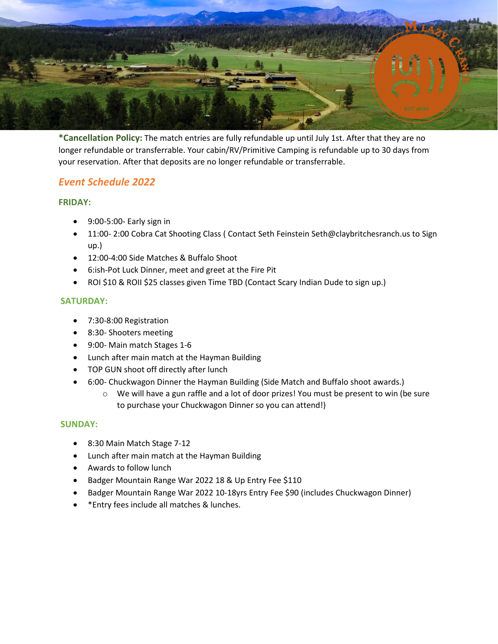

**\*Cancellation Policy:** The match entries are fully refundable up until July 1st. After that they are no longer refundable or transferrable. Your cabin/RV/Primitive Camping is refundable up to 30 days from your reservation. After that deposits are no longer refundable or transferrable.

## *Event Schedule 2022*

#### **FRIDAY:**

- 9:00-5:00- Early sign in
- 11:00- 2:00 Cobra Cat Shooting Class (Contact Seth Feinstein Seth@claybritchesranch.us to Sign up.)
- 12:00-4:00 Side Matches & Buffalo Shoot
- 6:ish-Pot Luck Dinner, meet and greet at the Fire Pit
- ROI \$10 & ROII \$25 classes given Time TBD (Contact Scary Indian Dude to sign up.)

#### **SATURDAY:**

- 7:30-8:00 Registration
- 8:30- Shooters meeting
- 9:00- Main match Stages 1-6
- Lunch after main match at the Hayman Building
- TOP GUN shoot off directly after lunch
- 6:00- Chuckwagon Dinner the Hayman Building (Side Match and Buffalo shoot awards.)
	- o We will have a gun raffle and a lot of door prizes! You must be present to win (be sure to purchase your Chuckwagon Dinner so you can attend!)

#### **SUNDAY:**

- 8:30 Main Match Stage 7-12
- Lunch after main match at the Hayman Building
- Awards to follow lunch
- Badger Mountain Range War 2022 18 & Up Entry Fee \$110
- Badger Mountain Range War 2022 10-18yrs Entry Fee \$90 (includes Chuckwagon Dinner)
- \*Entry fees include all matches & lunches.